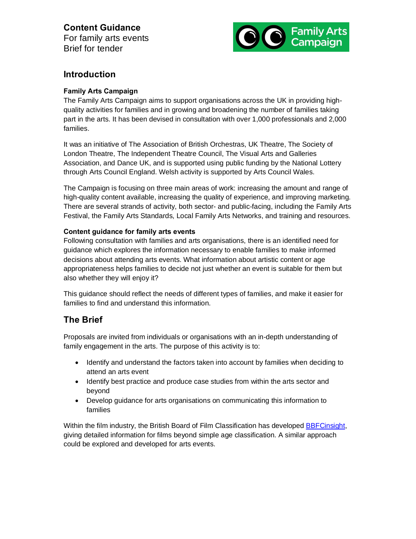# **Content Guidance**

For family arts events Brief for tender



### **Introduction**

#### **Family Arts Campaign**

The Family Arts Campaign aims to support organisations across the UK in providing highquality activities for families and in growing and broadening the number of families taking part in the arts. It has been devised in consultation with over 1,000 professionals and 2,000 families.

It was an initiative of The Association of British Orchestras, UK Theatre, The Society of London Theatre, The Independent Theatre Council, The Visual Arts and Galleries Association, and Dance UK, and is supported using public funding by the National Lottery through Arts Council England. Welsh activity is supported by Arts Council Wales.

The Campaign is focusing on three main areas of work: increasing the amount and range of high-quality content available, increasing the quality of experience, and improving marketing. There are several strands of activity, both sector- and public-facing, including the Family Arts Festival, the Family Arts Standards, Local Family Arts Networks, and training and resources.

#### **Content guidance for family arts events**

Following consultation with families and arts organisations, there is an identified need for guidance which explores the information necessary to enable families to make informed decisions about attending arts events. What information about artistic content or age appropriateness helps families to decide not just whether an event is suitable for them but also whether they will enjoy it?

This guidance should reflect the needs of different types of families, and make it easier for families to find and understand this information.

## **The Brief**

Proposals are invited from individuals or organisations with an in-depth understanding of family engagement in the arts. The purpose of this activity is to:

- · Identify and understand the factors taken into account by families when deciding to attend an arts event
- · Identify best practice and produce case studies from within the arts sector and beyond
- · Develop guidance for arts organisations on communicating this information to families

Within the film industry, the British Board of Film Classification has developed BBFCinsight, giving detailed information for films beyond simple age classification. A similar approach could be explored and developed for arts events.